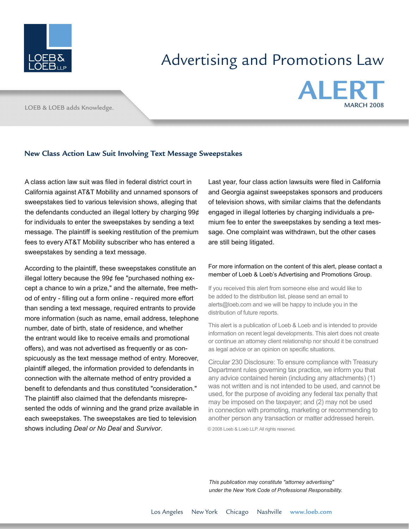

## Advertising and Promotions Law

LOEB & LOEB adds Knowledge.



## **New Class Action Law Suit Involving Text Message Sweepstakes**

A class action law suit was filed in federal district court in California against AT&T Mobility and unnamed sponsors of sweepstakes tied to various television shows, alleging that the defendants conducted an illegal lottery by charging 99¢ for individuals to enter the sweepstakes by sending a text message. The plaintiff is seeking restitution of the premium fees to every AT&T Mobility subscriber who has entered a sweepstakes by sending a text message.

According to the plaintiff, these sweepstakes constitute an illegal lottery because the 99¢ fee "purchased nothing except a chance to win a prize," and the alternate, free method of entry - filling out a form online - required more effort than sending a text message, required entrants to provide more information (such as name, email address, telephone number, date of birth, state of residence, and whether the entrant would like to receive emails and promotional offers), and was not advertised as frequently or as conspicuously as the text message method of entry. Moreover, plaintiff alleged, the information provided to defendants in connection with the alternate method of entry provided a benefit to defendants and thus constituted "consideration." The plaintiff also claimed that the defendants misrepresented the odds of winning and the grand prize available in each sweepstakes. The sweepstakes are tied to television shows including *Deal or No Deal* and *Survivor*.

Last year, four class action lawsuits were filed in California and Georgia against sweepstakes sponsors and producers of television shows, with similar claims that the defendants engaged in illegal lotteries by charging individuals a premium fee to enter the sweepstakes by sending a text message. One complaint was withdrawn, but the other cases are still being litigated.

## For more information on the content of this alert, please contact a member of Loeb & Loeb's Advertising and Promotions Group.

If you received this alert from someone else and would like to be added to the distribution list, please send an email to alerts@loeb.com and we will be happy to include you in the distribution of future reports.

This alert is a publication of Loeb & Loeb and is intended to provide information on recent legal developments. This alert does not create or continue an attorney client relationship nor should it be construed as legal advice or an opinion on specific situations.

Circular 230 Disclosure: To ensure compliance with Treasury Department rules governing tax practice, we inform you that any advice contained herein (including any attachments) (1) was not written and is not intended to be used, and cannot be used, for the purpose of avoiding any federal tax penalty that may be imposed on the taxpayer; and (2) may not be used in connection with promoting, marketing or recommending to another person any transaction or matter addressed herein.

© 2008 Loeb & Loeb LLP. All rights reserved.

*This publication may constitute "attorney advertising" under the New York Code of Professional Responsibility.*